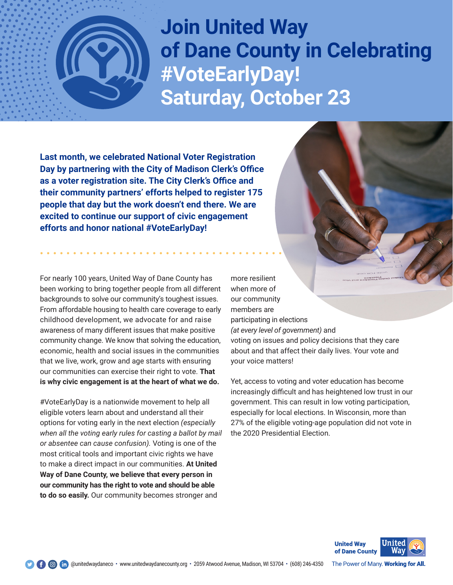

**Join United Way of Dane County in Celebrating #VoteEarlyDay! Saturday, October 23**

**Last month, we celebrated National Voter Registration Day by partnering with the City of Madison Clerk's Office as a voter registration site. The City Clerk's Office and their community partners' efforts helped to register 175 people that day but the work doesn't end there. We are excited to continue our support of civic engagement efforts and honor national #VoteEarlyDay!**

For nearly 100 years, United Way of Dane County has been working to bring together people from all different backgrounds to solve our community's toughest issues. From affordable housing to health care coverage to early childhood development, we advocate for and raise awareness of many different issues that make positive community change. We know that solving the education, economic, health and social issues in the communities that we live, work, grow and age starts with ensuring our communities can exercise their right to vote. **That is why civic engagement is at the heart of what we do.**

#VoteEarlyDay is a nationwide movement to help all eligible voters learn about and understand all their options for voting early in the next election *(especially when all the voting early rules for casting a ballot by mail or absentee can cause confusion).* Voting is one of the most critical tools and important civic rights we have to make a direct impact in our communities. **At United Way of Dane County, we believe that every person in our community has the right to vote and should be able to do so easily.** Our community becomes stronger and

more resilient when more of our community members are participating in elections *(at every level of government)* and voting on issues and policy decisions that they care about and that affect their daily lives. Your vote and

your voice matters!

Yet, access to voting and voter education has become increasingly difficult and has heightened low trust in our government. This can result in low voting participation, especially for local elections. In Wisconsin, more than 27% of the eligible voting-age population did not vote in the 2020 Presidential Election.